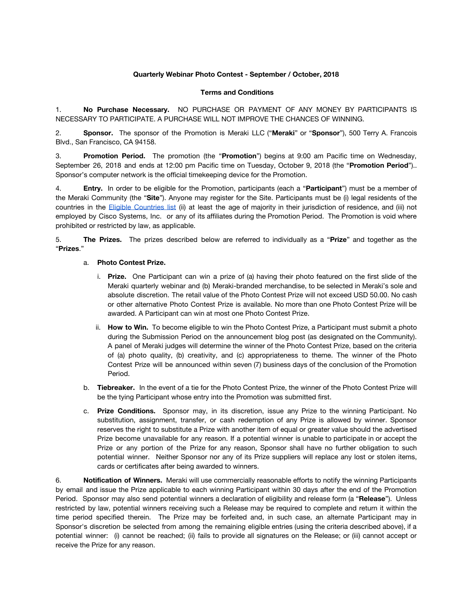## **Quarterly Webinar Photo Contest - September / October, 2018**

## **Terms and Conditions**

1. **No Purchase Necessary.** NO PURCHASE OR PAYMENT OF ANY MONEY BY PARTICIPANTS IS NECESSARY TO PARTICIPATE. A PURCHASE WILL NOT IMPROVE THE CHANCES OF WINNING.

2. **Sponsor.** The sponsor of the Promotion is Meraki LLC ("**Meraki**" or "**Sponsor**"), 500 Terry A. Francois Blvd., San Francisco, CA 94158.

3. **Promotion Period.** The promotion (the "**Promotion**") begins at 9:00 am Pacific time on Wednesday, September 26, 2018 and ends at 12:00 pm Pacific time on Tuesday, October 9, 2018 (the "**Promotion Period**").. Sponsor's computer network is the official timekeeping device for the Promotion.

4. **Entry.** In order to be eligible for the Promotion, participants (each a "**Participant**") must be a member of the Meraki Community (the "**Site**"). Anyone may register for the Site. Participants must be (i) legal residents of the countries in the Eligible [Countries](https://community.meraki.com/t5/Terms-Conditions/Eligible-Countries-List/ba-p/5069/jump-to/first-unread-message) list (ii) at least the age of majority in their jurisdiction of residence, and (iii) not employed by Cisco Systems, Inc. or any of its affiliates during the Promotion Period. The Promotion is void where prohibited or restricted by law, as applicable.

5. **The Prizes.** The prizes described below are referred to individually as a "**Prize**" and together as the "**Prizes**."

## a. **Photo Contest Prize.**

- i. **Prize.** One Participant can win a prize of (a) having their photo featured on the first slide of the Meraki quarterly webinar and (b) Meraki-branded merchandise, to be selected in Meraki's sole and absolute discretion. The retail value of the Photo Contest Prize will not exceed USD 50.00. No cash or other alternative Photo Contest Prize is available. No more than one Photo Contest Prize will be awarded. A Participant can win at most one Photo Contest Prize.
- ii. **How to Win.** To become eligible to win the Photo Contest Prize, a Participant must submit a photo during the Submission Period on the announcement blog post (as designated on the Community). A panel of Meraki judges will determine the winner of the Photo Contest Prize, based on the criteria of (a) photo quality, (b) creativity, and (c) appropriateness to theme. The winner of the Photo Contest Prize will be announced within seven (7) business days of the conclusion of the Promotion Period.
- b. **Tiebreaker.** In the event of a tie for the Photo Contest Prize, the winner of the Photo Contest Prize will be the tying Participant whose entry into the Promotion was submitted first.
- c. **Prize Conditions.** Sponsor may, in its discretion, issue any Prize to the winning Participant. No substitution, assignment, transfer, or cash redemption of any Prize is allowed by winner. Sponsor reserves the right to substitute a Prize with another item of equal or greater value should the advertised Prize become unavailable for any reason. If a potential winner is unable to participate in or accept the Prize or any portion of the Prize for any reason, Sponsor shall have no further obligation to such potential winner. Neither Sponsor nor any of its Prize suppliers will replace any lost or stolen items, cards or certificates after being awarded to winners.

6. **Notification of Winners.** Meraki will use commercially reasonable efforts to notify the winning Participants by email and issue the Prize applicable to each winning Participant within 30 days after the end of the Promotion Period. Sponsor may also send potential winners a declaration of eligibility and release form (a "**Release**"). Unless restricted by law, potential winners receiving such a Release may be required to complete and return it within the time period specified therein. The Prize may be forfeited and, in such case, an alternate Participant may in Sponsor's discretion be selected from among the remaining eligible entries (using the criteria described above), if a potential winner: (i) cannot be reached; (ii) fails to provide all signatures on the Release; or (iii) cannot accept or receive the Prize for any reason.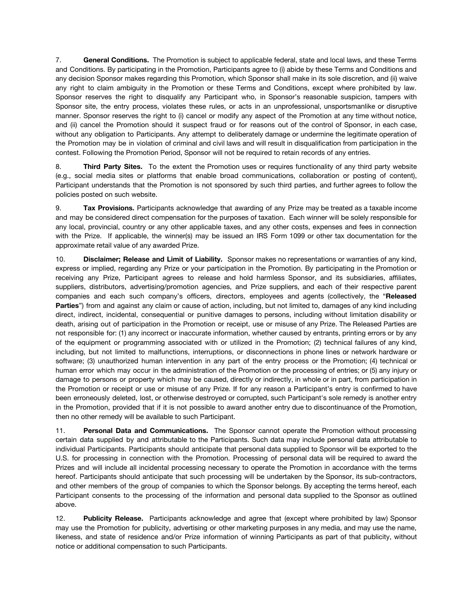7. **General Conditions.** The Promotion is subject to applicable federal, state and local laws, and these Terms and Conditions. By participating in the Promotion, Participants agree to (i) abide by these Terms and Conditions and any decision Sponsor makes regarding this Promotion, which Sponsor shall make in its sole discretion, and (ii) waive any right to claim ambiguity in the Promotion or these Terms and Conditions, except where prohibited by law. Sponsor reserves the right to disqualify any Participant who, in Sponsor's reasonable suspicion, tampers with Sponsor site, the entry process, violates these rules, or acts in an unprofessional, unsportsmanlike or disruptive manner. Sponsor reserves the right to (i) cancel or modify any aspect of the Promotion at any time without notice, and (ii) cancel the Promotion should it suspect fraud or for reasons out of the control of Sponsor, in each case, without any obligation to Participants. Any attempt to deliberately damage or undermine the legitimate operation of the Promotion may be in violation of criminal and civil laws and will result in disqualification from participation in the contest. Following the Promotion Period, Sponsor will not be required to retain records of any entries.

8. **Third Party Sites.** To the extent the Promotion uses or requires functionality of any third party website (e.g., social media sites or platforms that enable broad communications, collaboration or posting of content), Participant understands that the Promotion is not sponsored by such third parties, and further agrees to follow the policies posted on such website.

9. **Tax Provisions.** Participants acknowledge that awarding of any Prize may be treated as a taxable income and may be considered direct compensation for the purposes of taxation. Each winner will be solely responsible for any local, provincial, country or any other applicable taxes, and any other costs, expenses and fees in connection with the Prize. If applicable, the winner(s) may be issued an IRS Form 1099 or other tax documentation for the approximate retail value of any awarded Prize.

10. **Disclaimer; Release and Limit of Liability.** Sponsor makes no representations or warranties of any kind, express or implied, regarding any Prize or your participation in the Promotion. By participating in the Promotion or receiving any Prize, Participant agrees to release and hold harmless Sponsor, and its subsidiaries, affiliates, suppliers, distributors, advertising/promotion agencies, and Prize suppliers, and each of their respective parent companies and each such company's officers, directors, employees and agents (collectively, the "**Released Parties**") from and against any claim or cause of action, including, but not limited to, damages of any kind including direct, indirect, incidental, consequential or punitive damages to persons, including without limitation disability or death, arising out of participation in the Promotion or receipt, use or misuse of any Prize. The Released Parties are not responsible for: (1) any incorrect or inaccurate information, whether caused by entrants, printing errors or by any of the equipment or programming associated with or utilized in the Promotion; (2) technical failures of any kind, including, but not limited to malfunctions, interruptions, or disconnections in phone lines or network hardware or software; (3) unauthorized human intervention in any part of the entry process or the Promotion; (4) technical or human error which may occur in the administration of the Promotion or the processing of entries; or (5) any injury or damage to persons or property which may be caused, directly or indirectly, in whole or in part, from participation in the Promotion or receipt or use or misuse of any Prize. If for any reason a Participant's entry is confirmed to have been erroneously deleted, lost, or otherwise destroyed or corrupted, such Participant's sole remedy is another entry in the Promotion, provided that if it is not possible to award another entry due to discontinuance of the Promotion, then no other remedy will be available to such Participant.

11. **Personal Data and Communications.** The Sponsor cannot operate the Promotion without processing certain data supplied by and attributable to the Participants. Such data may include personal data attributable to individual Participants. Participants should anticipate that personal data supplied to Sponsor will be exported to the U.S. for processing in connection with the Promotion. Processing of personal data will be required to award the Prizes and will include all incidental processing necessary to operate the Promotion in accordance with the terms hereof. Participants should anticipate that such processing will be undertaken by the Sponsor, its sub-contractors, and other members of the group of companies to which the Sponsor belongs. By accepting the terms hereof, each Participant consents to the processing of the information and personal data supplied to the Sponsor as outlined above.

12. **Publicity Release.** Participants acknowledge and agree that (except where prohibited by law) Sponsor may use the Promotion for publicity, advertising or other marketing purposes in any media, and may use the name, likeness, and state of residence and/or Prize information of winning Participants as part of that publicity, without notice or additional compensation to such Participants.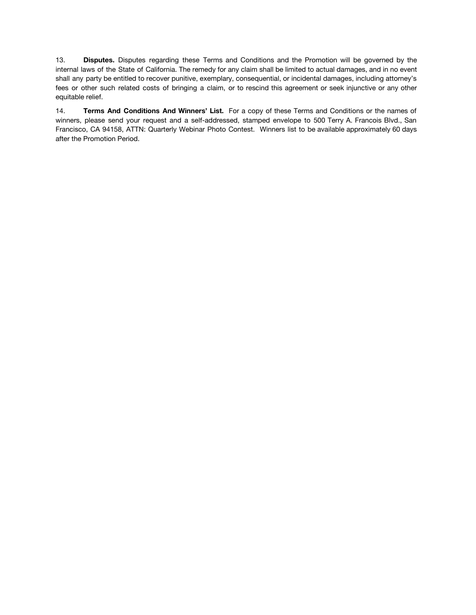13. **Disputes.** Disputes regarding these Terms and Conditions and the Promotion will be governed by the internal laws of the State of California. The remedy for any claim shall be limited to actual damages, and in no event shall any party be entitled to recover punitive, exemplary, consequential, or incidental damages, including attorney's fees or other such related costs of bringing a claim, or to rescind this agreement or seek injunctive or any other equitable relief.

14. **Terms And Conditions And Winners' List.** For a copy of these Terms and Conditions or the names of winners, please send your request and a self-addressed, stamped envelope to 500 Terry A. Francois Blvd., San Francisco, CA 94158, ATTN: Quarterly Webinar Photo Contest. Winners list to be available approximately 60 days after the Promotion Period.